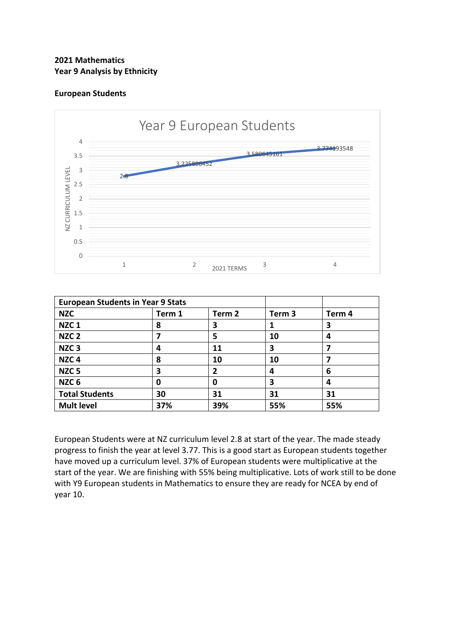# **2021 Mathematics Year 9 Analysis by Ethnicity**

## **European Students**



| <b>European Students in Year 9 Stats</b> |        |        |        |        |
|------------------------------------------|--------|--------|--------|--------|
| <b>NZC</b>                               | Term 1 | Term 2 | Term 3 | Term 4 |
| NZC <sub>1</sub>                         | 8      | 3      |        | 3      |
| NZC <sub>2</sub>                         |        | 5      | 10     | 4      |
| NZC <sub>3</sub>                         | 4      | 11     | 3      |        |
| NZC <sub>4</sub>                         | 8      | 10     | 10     |        |
| NZC <sub>5</sub>                         | 3      |        | 4      | 6      |
| NZC <sub>6</sub>                         | 0      | 0      | 3      | 4      |
| <b>Total Students</b>                    | 30     | 31     | 31     | 31     |
| <b>Mult level</b>                        | 37%    | 39%    | 55%    | 55%    |

European Students were at NZ curriculum level 2.8 at start of the year. The made steady progress to finish the year at level 3.77. This is a good start as European students together have moved up a curriculum level. 37% of European students were multiplicative at the start of the year. We are finishing with 55% being multiplicative. Lots of work still to be done with Y9 European students in Mathematics to ensure they are ready for NCEA by end of year 10.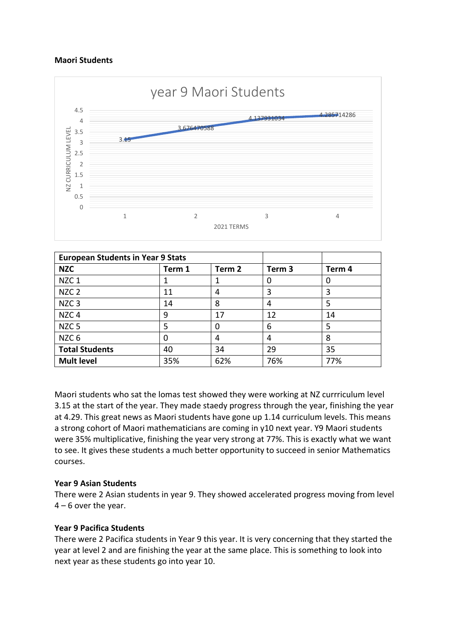## **Maori Students**



| <b>European Students in Year 9 Stats</b> |        |        |        |        |
|------------------------------------------|--------|--------|--------|--------|
| <b>NZC</b>                               | Term 1 | Term 2 | Term 3 | Term 4 |
| NZC <sub>1</sub>                         |        |        |        | 0      |
| NZC <sub>2</sub>                         | 11     | 4      | 3      | 3      |
| NZC <sub>3</sub>                         | 14     | 8      | 4      | 5      |
| NZC <sub>4</sub>                         | 9      | 17     | 12     | 14     |
| NZC <sub>5</sub>                         | 5      | 0      | 6      | 5      |
| NZC <sub>6</sub>                         | 0      | 4      | 4      | 8      |
| <b>Total Students</b>                    | 40     | 34     | 29     | 35     |
| <b>Mult level</b>                        | 35%    | 62%    | 76%    | 77%    |

Maori students who sat the lomas test showed they were working at NZ currriculum level 3.15 at the start of the year. They made staedy progress through the year, finishing the year at 4.29. This great news as Maori students have gone up 1.14 curriculum levels. This means a strong cohort of Maori mathematicians are coming in y10 next year. Y9 Maori students were 35% multiplicative, finishing the year very strong at 77%. This is exactly what we want to see. It gives these students a much better opportunity to succeed in senior Mathematics courses.

#### **Year 9 Asian Students**

There were 2 Asian students in year 9. They showed accelerated progress moving from level  $4 - 6$  over the year.

#### **Year 9 Pacifica Students**

There were 2 Pacifica students in Year 9 this year. It is very concerning that they started the year at level 2 and are finishing the year at the same place. This is something to look into next year as these students go into year 10.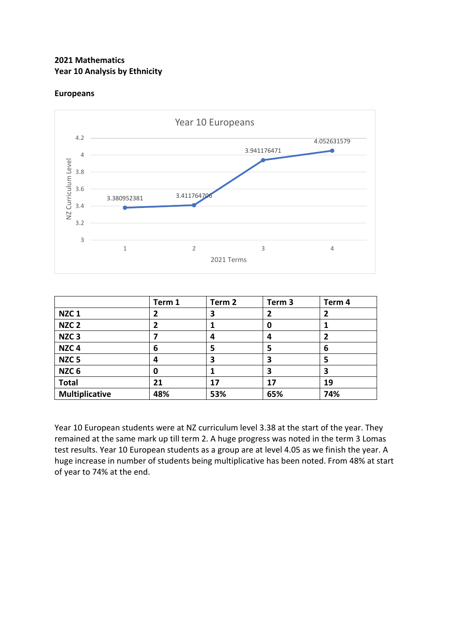# **2021 Mathematics Year 10 Analysis by Ethnicity**

# **Europeans**



|                       | Term 1 | Term 2 | Term <sub>3</sub> | Term 4       |
|-----------------------|--------|--------|-------------------|--------------|
| NZC <sub>1</sub>      | 2      | 3      | 2                 | $\mathbf{2}$ |
| NZC <sub>2</sub>      | 2      | 1      | 0                 |              |
| NZC <sub>3</sub>      |        | 4      | 4                 | 2            |
| NZC <sub>4</sub>      | 6      | 5      | 5                 | 6            |
| NZC <sub>5</sub>      | 4      | 3      | 3                 | 5            |
| NZC <sub>6</sub>      | 0      | 1      | 3                 | 3            |
| <b>Total</b>          | 21     | 17     | 17                | 19           |
| <b>Multiplicative</b> | 48%    | 53%    | 65%               | 74%          |

Year 10 European students were at NZ curriculum level 3.38 at the start of the year. They remained at the same mark up till term 2. A huge progress was noted in the term 3 Lomas test results. Year 10 European students as a group are at level 4.05 as we finish the year. A huge increase in number of students being multiplicative has been noted. From 48% at start of year to 74% at the end.